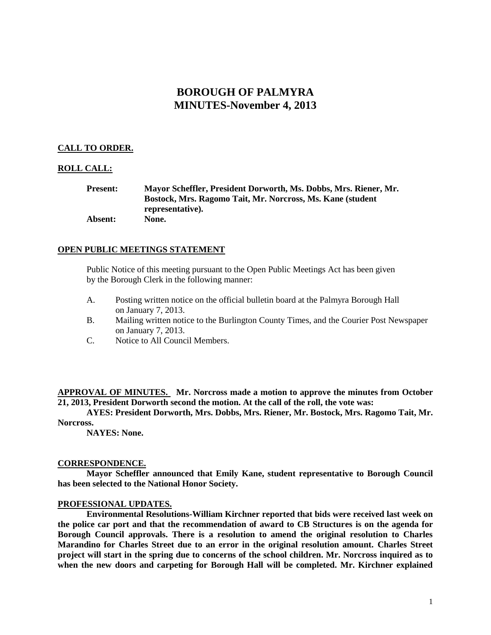# **BOROUGH OF PALMYRA MINUTES-November 4, 2013**

# **CALL TO ORDER.**

# **ROLL CALL:**

**Present: Mayor Scheffler, President Dorworth, Ms. Dobbs, Mrs. Riener, Mr. Bostock, Mrs. Ragomo Tait, Mr. Norcross, Ms. Kane (student representative). Absent: None.**

# **OPEN PUBLIC MEETINGS STATEMENT**

Public Notice of this meeting pursuant to the Open Public Meetings Act has been given by the Borough Clerk in the following manner:

- A. Posting written notice on the official bulletin board at the Palmyra Borough Hall on January 7, 2013.
- B. Mailing written notice to the Burlington County Times, and the Courier Post Newspaper on January 7, 2013.
- C. Notice to All Council Members.

**APPROVAL OF MINUTES. Mr. Norcross made a motion to approve the minutes from October 21, 2013, President Dorworth second the motion. At the call of the roll, the vote was:**

**AYES: President Dorworth, Mrs. Dobbs, Mrs. Riener, Mr. Bostock, Mrs. Ragomo Tait, Mr. Norcross.**

**NAYES: None.**

#### **CORRESPONDENCE.**

**Mayor Scheffler announced that Emily Kane, student representative to Borough Council has been selected to the National Honor Society.**

#### **PROFESSIONAL UPDATES.**

**Environmental Resolutions-William Kirchner reported that bids were received last week on the police car port and that the recommendation of award to CB Structures is on the agenda for Borough Council approvals. There is a resolution to amend the original resolution to Charles Marandino for Charles Street due to an error in the original resolution amount. Charles Street project will start in the spring due to concerns of the school children. Mr. Norcross inquired as to when the new doors and carpeting for Borough Hall will be completed. Mr. Kirchner explained**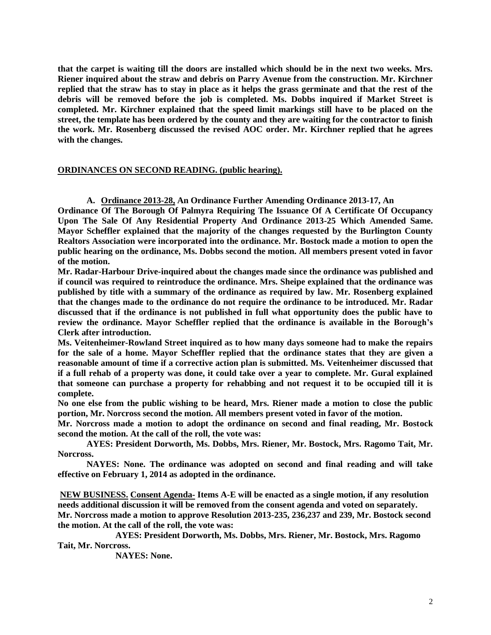**that the carpet is waiting till the doors are installed which should be in the next two weeks. Mrs. Riener inquired about the straw and debris on Parry Avenue from the construction. Mr. Kirchner replied that the straw has to stay in place as it helps the grass germinate and that the rest of the debris will be removed before the job is completed. Ms. Dobbs inquired if Market Street is completed. Mr. Kirchner explained that the speed limit markings still have to be placed on the street, the template has been ordered by the county and they are waiting for the contractor to finish the work. Mr. Rosenberg discussed the revised AOC order. Mr. Kirchner replied that he agrees with the changes.** 

#### **ORDINANCES ON SECOND READING. (public hearing).**

**A. Ordinance 2013-28, An Ordinance Further Amending Ordinance 2013-17, An**

**Ordinance Of The Borough Of Palmyra Requiring The Issuance Of A Certificate Of Occupancy Upon The Sale Of Any Residential Property And Ordinance 2013-25 Which Amended Same. Mayor Scheffler explained that the majority of the changes requested by the Burlington County Realtors Association were incorporated into the ordinance. Mr. Bostock made a motion to open the public hearing on the ordinance, Ms. Dobbs second the motion. All members present voted in favor of the motion.**

**Mr. Radar-Harbour Drive-inquired about the changes made since the ordinance was published and if council was required to reintroduce the ordinance. Mrs. Sheipe explained that the ordinance was published by title with a summary of the ordinance as required by law. Mr. Rosenberg explained that the changes made to the ordinance do not require the ordinance to be introduced. Mr. Radar discussed that if the ordinance is not published in full what opportunity does the public have to review the ordinance. Mayor Scheffler replied that the ordinance is available in the Borough's Clerk after introduction.** 

**Ms. Veitenheimer-Rowland Street inquired as to how many days someone had to make the repairs for the sale of a home. Mayor Scheffler replied that the ordinance states that they are given a reasonable amount of time if a corrective action plan is submitted. Ms. Veitenheimer discussed that if a full rehab of a property was done, it could take over a year to complete. Mr. Gural explained that someone can purchase a property for rehabbing and not request it to be occupied till it is complete.** 

**No one else from the public wishing to be heard, Mrs. Riener made a motion to close the public portion, Mr. Norcross second the motion. All members present voted in favor of the motion.**

**Mr. Norcross made a motion to adopt the ordinance on second and final reading, Mr. Bostock second the motion. At the call of the roll, the vote was:**

**AYES: President Dorworth, Ms. Dobbs, Mrs. Riener, Mr. Bostock, Mrs. Ragomo Tait, Mr. Norcross.**

**NAYES: None. The ordinance was adopted on second and final reading and will take effective on February 1, 2014 as adopted in the ordinance.**

**NEW BUSINESS. Consent Agenda- Items A-E will be enacted as a single motion, if any resolution needs additional discussion it will be removed from the consent agenda and voted on separately. Mr. Norcross made a motion to approve Resolution 2013-235, 236,237 and 239, Mr. Bostock second the motion. At the call of the roll, the vote was:**

**AYES: President Dorworth, Ms. Dobbs, Mrs. Riener, Mr. Bostock, Mrs. Ragomo Tait, Mr. Norcross.**

**NAYES: None.**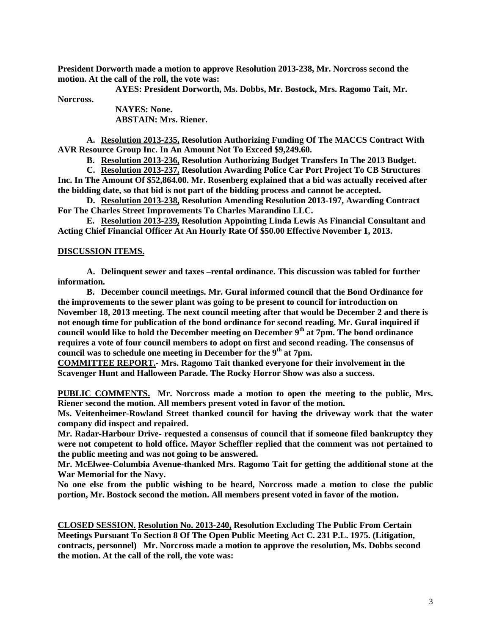**President Dorworth made a motion to approve Resolution 2013-238, Mr. Norcross second the motion. At the call of the roll, the vote was:**

**AYES: President Dorworth, Ms. Dobbs, Mr. Bostock, Mrs. Ragomo Tait, Mr.** 

**Norcross.**

**NAYES: None. ABSTAIN: Mrs. Riener.**

**A. Resolution 2013-235, Resolution Authorizing Funding Of The MACCS Contract With AVR Resource Group Inc. In An Amount Not To Exceed \$9,249.60.**

**B. Resolution 2013-236, Resolution Authorizing Budget Transfers In The 2013 Budget.** 

**C. Resolution 2013-237, Resolution Awarding Police Car Port Project To CB Structures Inc. In The Amount Of \$52,864.00. Mr. Rosenberg explained that a bid was actually received after the bidding date, so that bid is not part of the bidding process and cannot be accepted.** 

**D. Resolution 2013-238, Resolution Amending Resolution 2013-197, Awarding Contract For The Charles Street Improvements To Charles Marandino LLC.**

**E. Resolution 2013-239, Resolution Appointing Linda Lewis As Financial Consultant and Acting Chief Financial Officer At An Hourly Rate Of \$50.00 Effective November 1, 2013.** 

#### **DISCUSSION ITEMS.**

**A. Delinquent sewer and taxes –rental ordinance. This discussion was tabled for further information.** 

**B. December council meetings. Mr. Gural informed council that the Bond Ordinance for the improvements to the sewer plant was going to be present to council for introduction on November 18, 2013 meeting. The next council meeting after that would be December 2 and there is not enough time for publication of the bond ordinance for second reading. Mr. Gural inquired if council would like to hold the December meeting on December 9th at 7pm. The bond ordinance requires a vote of four council members to adopt on first and second reading. The consensus of council was to schedule one meeting in December for the 9th at 7pm.** 

**COMMITTEE REPORT.- Mrs. Ragomo Tait thanked everyone for their involvement in the Scavenger Hunt and Halloween Parade. The Rocky Horror Show was also a success.**

**PUBLIC COMMENTS. Mr. Norcross made a motion to open the meeting to the public, Mrs. Riener second the motion. All members present voted in favor of the motion.**

**Ms. Veitenheimer-Rowland Street thanked council for having the driveway work that the water company did inspect and repaired.** 

**Mr. Radar-Harbour Drive- requested a consensus of council that if someone filed bankruptcy they were not competent to hold office. Mayor Scheffler replied that the comment was not pertained to the public meeting and was not going to be answered.** 

**Mr. McElwee-Columbia Avenue-thanked Mrs. Ragomo Tait for getting the additional stone at the War Memorial for the Navy.**

**No one else from the public wishing to be heard, Norcross made a motion to close the public portion, Mr. Bostock second the motion. All members present voted in favor of the motion.** 

**CLOSED SESSION. Resolution No. 2013-240, Resolution Excluding The Public From Certain Meetings Pursuant To Section 8 Of The Open Public Meeting Act C. 231 P.L. 1975. (Litigation, contracts, personnel) Mr. Norcross made a motion to approve the resolution, Ms. Dobbs second the motion. At the call of the roll, the vote was:**